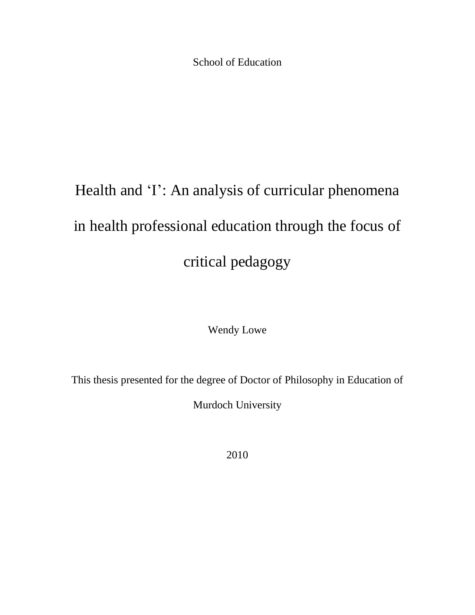School of Education

# Health and 'I': An analysis of curricular phenomena in health professional education through the focus of critical pedagogy

Wendy Lowe

This thesis presented for the degree of Doctor of Philosophy in Education of

Murdoch University

2010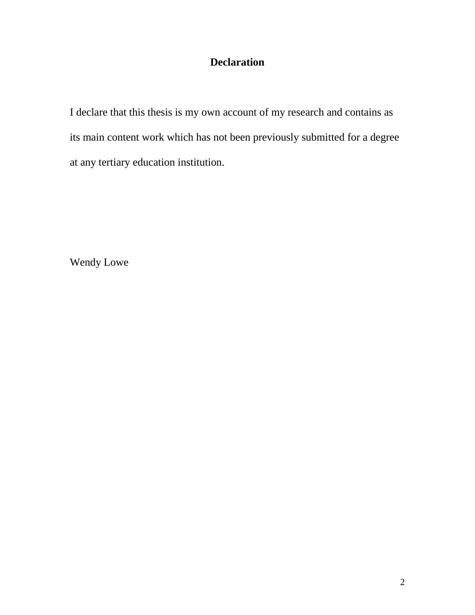## **Declaration**

I declare that this thesis is my own account of my research and contains as its main content work which has not been previously submitted for a degree at any tertiary education institution.

Wendy Lowe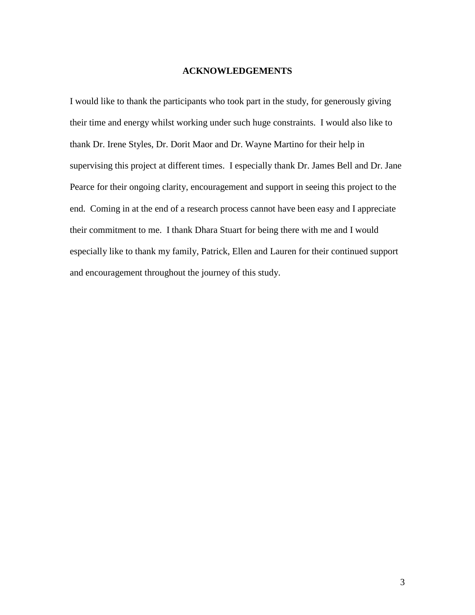#### **ACKNOWLEDGEMENTS**

I would like to thank the participants who took part in the study, for generously giving their time and energy whilst working under such huge constraints. I would also like to thank Dr. Irene Styles, Dr. Dorit Maor and Dr. Wayne Martino for their help in supervising this project at different times. I especially thank Dr. James Bell and Dr. Jane Pearce for their ongoing clarity, encouragement and support in seeing this project to the end. Coming in at the end of a research process cannot have been easy and I appreciate their commitment to me. I thank Dhara Stuart for being there with me and I would especially like to thank my family, Patrick, Ellen and Lauren for their continued support and encouragement throughout the journey of this study.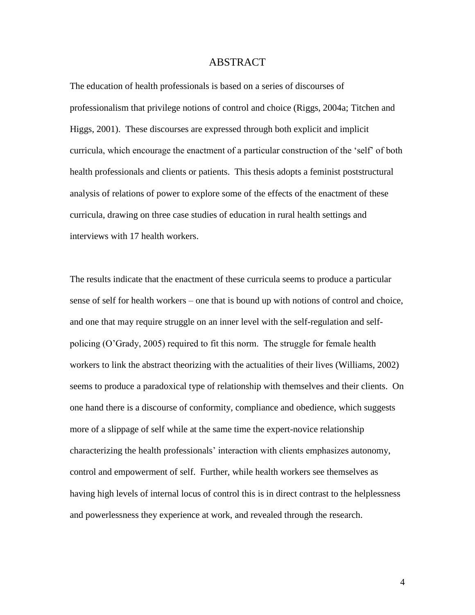#### ABSTRACT

The education of health professionals is based on a series of discourses of professionalism that privilege notions of control and choice (Riggs, 2004a; Titchen and Higgs, 2001). These discourses are expressed through both explicit and implicit curricula, which encourage the enactment of a particular construction of the "self" of both health professionals and clients or patients. This thesis adopts a feminist poststructural analysis of relations of power to explore some of the effects of the enactment of these curricula, drawing on three case studies of education in rural health settings and interviews with 17 health workers.

The results indicate that the enactment of these curricula seems to produce a particular sense of self for health workers – one that is bound up with notions of control and choice, and one that may require struggle on an inner level with the self-regulation and selfpolicing (O"Grady, 2005) required to fit this norm. The struggle for female health workers to link the abstract theorizing with the actualities of their lives (Williams, 2002) seems to produce a paradoxical type of relationship with themselves and their clients. On one hand there is a discourse of conformity, compliance and obedience, which suggests more of a slippage of self while at the same time the expert-novice relationship characterizing the health professionals" interaction with clients emphasizes autonomy, control and empowerment of self. Further, while health workers see themselves as having high levels of internal locus of control this is in direct contrast to the helplessness and powerlessness they experience at work, and revealed through the research.

4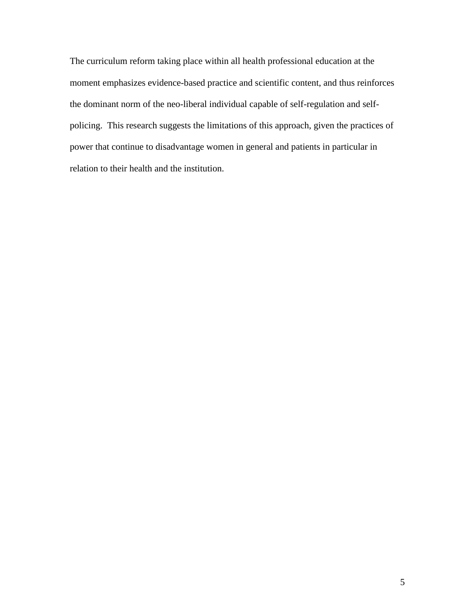The curriculum reform taking place within all health professional education at the moment emphasizes evidence-based practice and scientific content, and thus reinforces the dominant norm of the neo-liberal individual capable of self-regulation and selfpolicing. This research suggests the limitations of this approach, given the practices of power that continue to disadvantage women in general and patients in particular in relation to their health and the institution.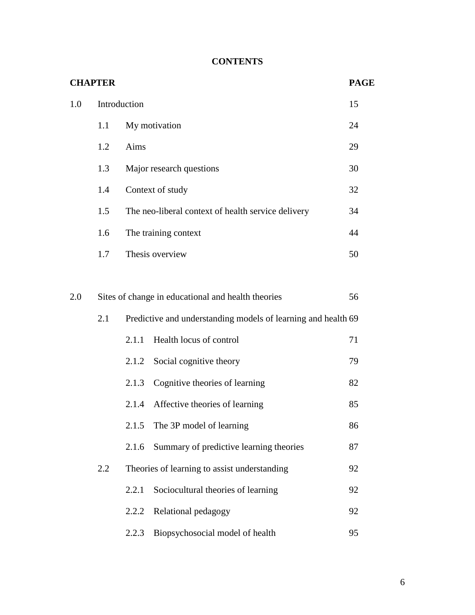### **CONTENTS**

| <b>CHAPTER</b><br><b>PAGE</b> |                                                          |                                                               |    |  |
|-------------------------------|----------------------------------------------------------|---------------------------------------------------------------|----|--|
| 1.0                           |                                                          | Introduction                                                  | 15 |  |
|                               | 1.1                                                      | My motivation                                                 | 24 |  |
|                               | 1.2                                                      | Aims                                                          | 29 |  |
|                               | 1.3                                                      | Major research questions                                      | 30 |  |
|                               | 1.4                                                      | Context of study                                              | 32 |  |
|                               | 1.5                                                      | The neo-liberal context of health service delivery            | 34 |  |
|                               | 1.6                                                      | The training context                                          | 44 |  |
|                               | 1.7                                                      | Thesis overview                                               | 50 |  |
|                               |                                                          |                                                               |    |  |
| 2.0                           | Sites of change in educational and health theories<br>56 |                                                               |    |  |
|                               | 2.1                                                      | Predictive and understanding models of learning and health 69 |    |  |
|                               |                                                          | Health locus of control<br>2.1.1                              | 71 |  |
|                               |                                                          | 2.1.2<br>Social cognitive theory                              | 79 |  |
|                               |                                                          | Cognitive theories of learning<br>2.1.3                       | 82 |  |
|                               |                                                          | Affective theories of learning<br>2.1.4                       | 85 |  |
|                               |                                                          | The 3P model of learning<br>2.1.5                             | 86 |  |
|                               |                                                          | Summary of predictive learning theories<br>2.1.6              | 87 |  |
|                               | 2.2                                                      | Theories of learning to assist understanding                  | 92 |  |
|                               |                                                          | 2.2.1<br>Sociocultural theories of learning                   | 92 |  |
|                               |                                                          | Relational pedagogy<br>2.2.2                                  | 92 |  |
|                               |                                                          | 2.2.3<br>Biopsychosocial model of health                      | 95 |  |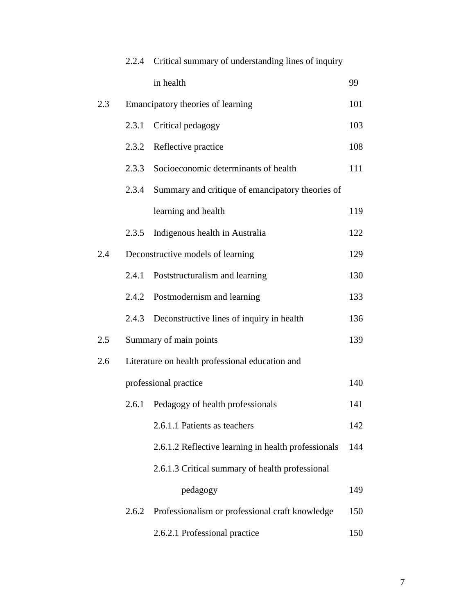|     | 2.2.4                                           | Critical summary of understanding lines of inquiry  |     |  |  |
|-----|-------------------------------------------------|-----------------------------------------------------|-----|--|--|
|     |                                                 | in health                                           | 99  |  |  |
| 2.3 |                                                 | Emancipatory theories of learning                   | 101 |  |  |
|     | 2.3.1                                           | Critical pedagogy                                   | 103 |  |  |
|     | 2.3.2                                           | Reflective practice                                 | 108 |  |  |
|     | 2.3.3                                           | Socioeconomic determinants of health                | 111 |  |  |
|     | 2.3.4                                           | Summary and critique of emancipatory theories of    |     |  |  |
|     |                                                 | learning and health                                 | 119 |  |  |
|     | 2.3.5                                           | Indigenous health in Australia                      | 122 |  |  |
| 2.4 |                                                 | Deconstructive models of learning                   | 129 |  |  |
|     | 2.4.1                                           | Poststructuralism and learning                      | 130 |  |  |
|     | 2.4.2                                           | Postmodernism and learning                          | 133 |  |  |
|     | 2.4.3                                           | Deconstructive lines of inquiry in health           | 136 |  |  |
| 2.5 |                                                 | Summary of main points                              | 139 |  |  |
| 2.6 | Literature on health professional education and |                                                     |     |  |  |
|     |                                                 | professional practice                               | 140 |  |  |
|     | 2.6.1                                           | Pedagogy of health professionals                    | 141 |  |  |
|     |                                                 | 2.6.1.1 Patients as teachers                        | 142 |  |  |
|     |                                                 | 2.6.1.2 Reflective learning in health professionals | 144 |  |  |
|     |                                                 | 2.6.1.3 Critical summary of health professional     |     |  |  |
|     |                                                 | pedagogy                                            | 149 |  |  |
|     | 2.6.2                                           | Professionalism or professional craft knowledge     | 150 |  |  |
|     |                                                 | 2.6.2.1 Professional practice                       | 150 |  |  |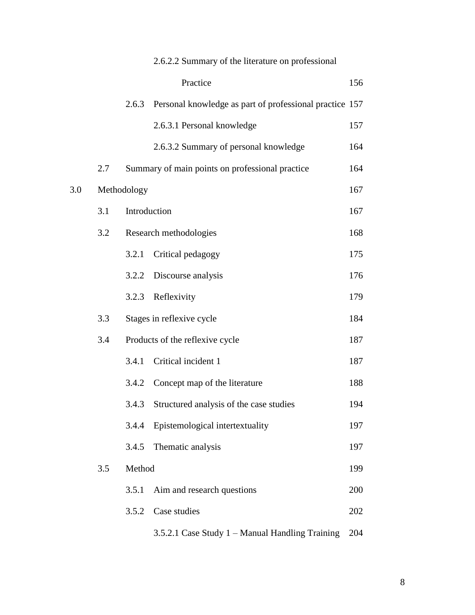|     |     |              | 2.6.2.2 Summary of the literature on professional       |     |
|-----|-----|--------------|---------------------------------------------------------|-----|
|     |     |              | Practice                                                | 156 |
|     |     | 2.6.3        | Personal knowledge as part of professional practice 157 |     |
|     |     |              | 2.6.3.1 Personal knowledge                              | 157 |
|     |     |              | 2.6.3.2 Summary of personal knowledge                   | 164 |
|     | 2.7 |              | Summary of main points on professional practice         | 164 |
| 3.0 |     | Methodology  |                                                         | 167 |
|     | 3.1 | Introduction |                                                         | 167 |
|     | 3.2 |              | Research methodologies                                  | 168 |
|     |     | 3.2.1        | Critical pedagogy                                       | 175 |
|     |     | 3.2.2        | Discourse analysis                                      | 176 |
|     |     | 3.2.3        | Reflexivity                                             | 179 |
|     | 3.3 |              | Stages in reflexive cycle                               | 184 |
|     | 3.4 |              | Products of the reflexive cycle                         | 187 |
|     |     | 3.4.1        | Critical incident 1                                     | 187 |
|     |     | 3.4.2        | Concept map of the literature                           | 188 |
|     |     | 3.4.3        | Structured analysis of the case studies                 | 194 |
|     |     | 3.4.4        | Epistemological intertextuality                         | 197 |
|     |     | 3.4.5        | Thematic analysis                                       | 197 |
|     | 3.5 | Method       |                                                         | 199 |
|     |     | 3.5.1        | Aim and research questions                              | 200 |
|     |     | 3.5.2        | Case studies                                            | 202 |
|     |     |              | 3.5.2.1 Case Study 1 – Manual Handling Training         | 204 |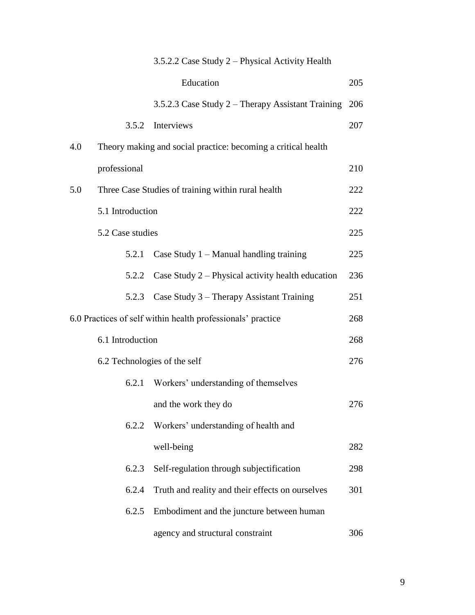|     |                  | 3.5.2.2 Case Study 2 - Physical Activity Health               |     |
|-----|------------------|---------------------------------------------------------------|-----|
|     |                  | Education                                                     | 205 |
|     |                  | 3.5.2.3 Case Study 2 – Therapy Assistant Training             | 206 |
|     | 3.5.2            | Interviews                                                    | 207 |
| 4.0 |                  | Theory making and social practice: becoming a critical health |     |
|     | professional     |                                                               | 210 |
| 5.0 |                  | Three Case Studies of training within rural health            | 222 |
|     | 5.1 Introduction |                                                               | 222 |
|     | 5.2 Case studies |                                                               | 225 |
|     | 5.2.1            | Case Study $1 -$ Manual handling training                     | 225 |
|     | 5.2.2            | Case Study $2$ – Physical activity health education           | 236 |
|     |                  | 5.2.3 Case Study 3 – Therapy Assistant Training               | 251 |
|     |                  | 6.0 Practices of self within health professionals' practice   | 268 |
|     | 6.1 Introduction |                                                               | 268 |
|     |                  | 6.2 Technologies of the self                                  | 276 |
|     | 6.2.1            | Workers' understanding of themselves                          |     |
|     |                  | and the work they do                                          | 276 |
|     | 6.2.2            | Workers' understanding of health and                          |     |
|     |                  | well-being                                                    | 282 |
|     | 6.2.3            | Self-regulation through subjectification                      | 298 |
|     | 6.2.4            | Truth and reality and their effects on ourselves              | 301 |
|     | 6.2.5            | Embodiment and the juncture between human                     |     |
|     |                  | agency and structural constraint                              | 306 |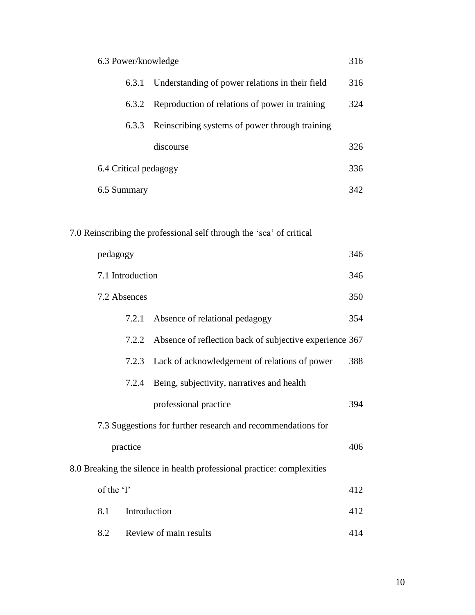|              | 6.3 Power/knowledge   |                                                                        | 316 |
|--------------|-----------------------|------------------------------------------------------------------------|-----|
|              | 6.3.1                 | Understanding of power relations in their field                        | 316 |
|              | 6.3.2                 | Reproduction of relations of power in training                         | 324 |
|              | 6.3.3                 | Reinscribing systems of power through training                         |     |
|              |                       | discourse                                                              | 326 |
|              | 6.4 Critical pedagogy |                                                                        | 336 |
| 6.5 Summary  |                       |                                                                        | 342 |
|              |                       |                                                                        |     |
|              |                       | 7.0 Reinscribing the professional self through the 'sea' of critical   |     |
| pedagogy     |                       |                                                                        | 346 |
|              | 7.1 Introduction      |                                                                        | 346 |
| 7.2 Absences |                       |                                                                        | 350 |
|              | 7.2.1                 | Absence of relational pedagogy                                         | 354 |
|              | 7.2.2                 | Absence of reflection back of subjective experience 367                |     |
|              | 7.2.3                 | Lack of acknowledgement of relations of power                          | 388 |
|              | 7.2.4                 | Being, subjectivity, narratives and health                             |     |
|              |                       | professional practice                                                  | 394 |
|              |                       | 7.3 Suggestions for further research and recommendations for           |     |
|              | practice              |                                                                        | 406 |
|              |                       | 8.0 Breaking the silence in health professional practice: complexities |     |
| of the 'I'   |                       |                                                                        | 412 |
| 8.1          | Introduction          |                                                                        | 412 |
| 8.2          |                       | Review of main results                                                 | 414 |

10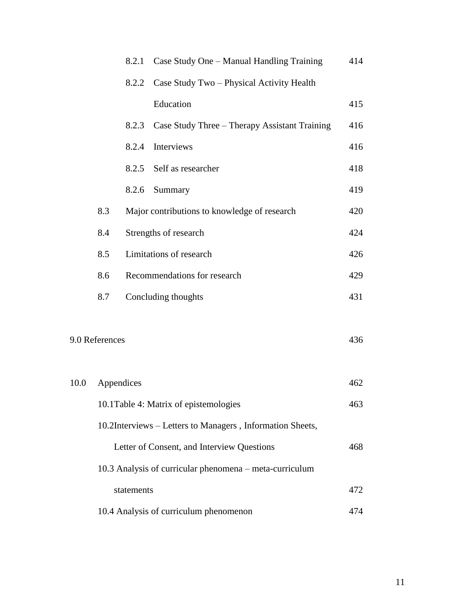|      |                                                           | 8.2.1      | Case Study One – Manual Handling Training               | 414 |
|------|-----------------------------------------------------------|------------|---------------------------------------------------------|-----|
|      |                                                           | 8.2.2      | Case Study Two - Physical Activity Health               |     |
|      |                                                           |            | Education                                               | 415 |
|      |                                                           | 8.2.3      | Case Study Three – Therapy Assistant Training           | 416 |
|      |                                                           | 8.2.4      | Interviews                                              | 416 |
|      |                                                           | 8.2.5      | Self as researcher                                      | 418 |
|      |                                                           | 8.2.6      | Summary                                                 | 419 |
|      | 8.3                                                       |            | Major contributions to knowledge of research            | 420 |
|      | 8.4                                                       |            | Strengths of research                                   | 424 |
|      | 8.5                                                       |            | Limitations of research                                 | 426 |
|      | 8.6                                                       |            | Recommendations for research                            | 429 |
|      | 8.7                                                       |            | Concluding thoughts                                     | 431 |
|      |                                                           |            |                                                         |     |
|      | 9.0 References                                            |            |                                                         | 436 |
|      |                                                           |            |                                                         |     |
| 10.0 | Appendices                                                |            |                                                         | 462 |
|      |                                                           |            | 10.1 Table 4: Matrix of epistemologies                  | 463 |
|      | 10.2Interviews - Letters to Managers, Information Sheets, |            |                                                         |     |
|      |                                                           |            | Letter of Consent, and Interview Questions              | 468 |
|      |                                                           |            | 10.3 Analysis of curricular phenomena – meta-curriculum |     |
|      |                                                           | statements |                                                         | 472 |
|      |                                                           |            | 10.4 Analysis of curriculum phenomenon                  | 474 |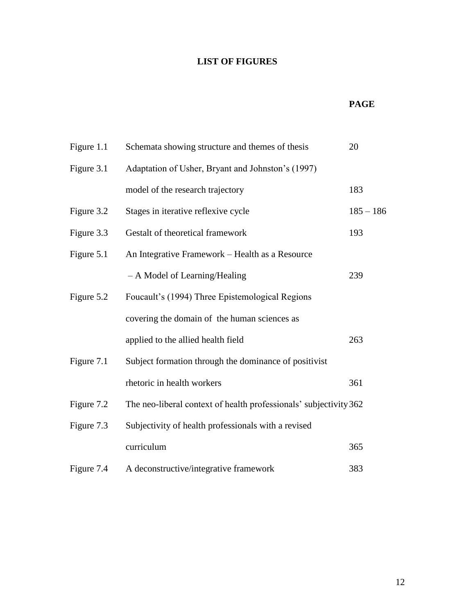### **LIST OF FIGURES**

#### **PAGE**

| Figure 1.1 | Schemata showing structure and themes of thesis                   | 20          |
|------------|-------------------------------------------------------------------|-------------|
| Figure 3.1 | Adaptation of Usher, Bryant and Johnston's (1997)                 |             |
|            | model of the research trajectory                                  | 183         |
| Figure 3.2 | Stages in iterative reflexive cycle                               | $185 - 186$ |
| Figure 3.3 | Gestalt of theoretical framework                                  | 193         |
| Figure 5.1 | An Integrative Framework - Health as a Resource                   |             |
|            | - A Model of Learning/Healing                                     | 239         |
| Figure 5.2 | Foucault's (1994) Three Epistemological Regions                   |             |
|            | covering the domain of the human sciences as                      |             |
|            | applied to the allied health field                                | 263         |
| Figure 7.1 | Subject formation through the dominance of positivist             |             |
|            | rhetoric in health workers                                        | 361         |
| Figure 7.2 | The neo-liberal context of health professionals' subjectivity 362 |             |
| Figure 7.3 | Subjectivity of health professionals with a revised               |             |
|            | curriculum                                                        | 365         |
| Figure 7.4 | A deconstructive/integrative framework                            | 383         |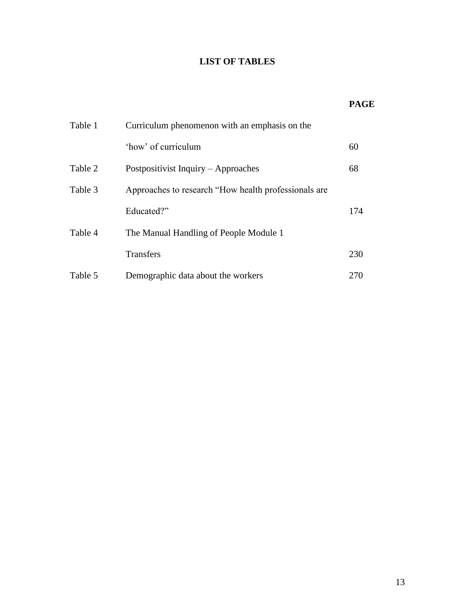### **LIST OF TABLES**

# **PAGE**

| Table 1 | Curriculum phenomenon with an emphasis on the         |     |
|---------|-------------------------------------------------------|-----|
|         | 'how' of curriculum                                   | 60  |
| Table 2 | Postpositivist Inquiry – Approaches                   | 68  |
| Table 3 | Approaches to research "How health professionals are. |     |
|         | Educated?"                                            | 174 |
| Table 4 | The Manual Handling of People Module 1                |     |
|         | <b>Transfers</b>                                      | 230 |
| Table 5 | Demographic data about the workers                    | 270 |